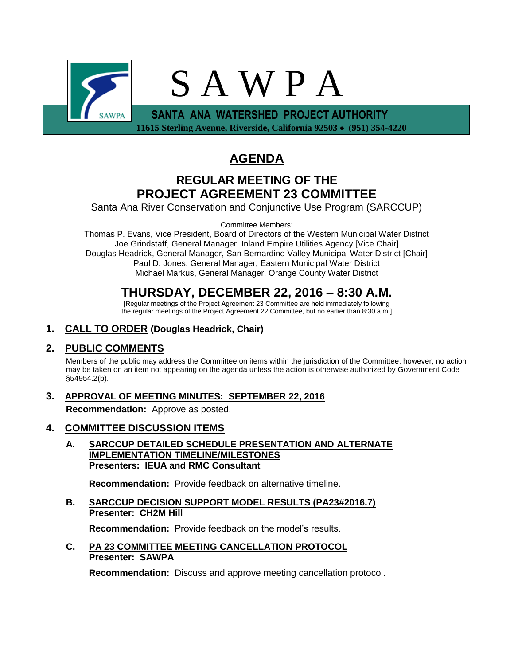

## **AGENDA**

## **REGULAR MEETING OF THE PROJECT AGREEMENT 23 COMMITTEE**

Santa Ana River Conservation and Conjunctive Use Program (SARCCUP)

Committee Members:

Thomas P. Evans, Vice President, Board of Directors of the Western Municipal Water District Joe Grindstaff, General Manager, Inland Empire Utilities Agency [Vice Chair] Douglas Headrick, General Manager, San Bernardino Valley Municipal Water District [Chair] Paul D. Jones, General Manager, Eastern Municipal Water District Michael Markus, General Manager, Orange County Water District

## **THURSDAY, DECEMBER 22, 2016 – 8:30 A.M.**

[Regular meetings of the Project Agreement 23 Committee are held immediately following the regular meetings of the Project Agreement 22 Committee, but no earlier than 8:30 a.m.]

## **1. CALL TO ORDER (Douglas Headrick, Chair)**

### **2. PUBLIC COMMENTS**

Members of the public may address the Committee on items within the jurisdiction of the Committee; however, no action may be taken on an item not appearing on the agenda unless the action is otherwise authorized by Government Code §54954.2(b).

## **3. APPROVAL OF MEETING MINUTES: SEPTEMBER 22, 2016**

**Recommendation:** Approve as posted.

### **4. COMMITTEE DISCUSSION ITEMS**

**A. SARCCUP DETAILED SCHEDULE PRESENTATION AND ALTERNATE IMPLEMENTATION TIMELINE/MILESTONES Presenters: IEUA and RMC Consultant**

**Recommendation:** Provide feedback on alternative timeline.

**B. SARCCUP DECISION SUPPORT MODEL RESULTS (PA23#2016.7) Presenter: CH2M Hill**

**Recommendation:** Provide feedback on the model's results.

#### **C. PA 23 COMMITTEE MEETING CANCELLATION PROTOCOL Presenter: SAWPA**

**Recommendation:** Discuss and approve meeting cancellation protocol.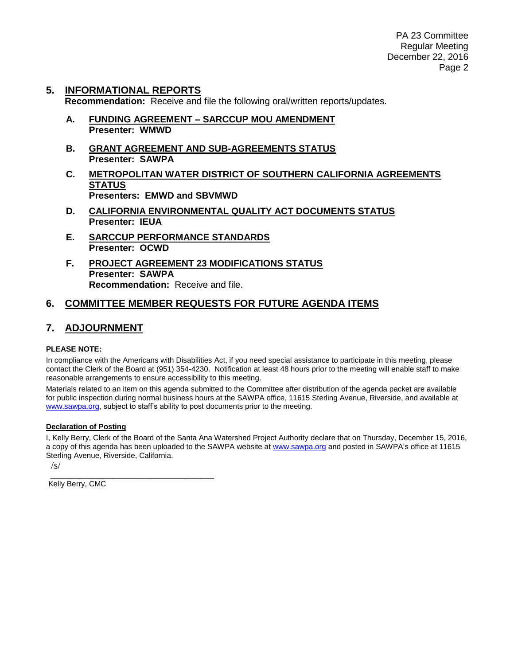PA 23 Committee Regular Meeting December 22, 2016 Page 2

# **5. INFORMATIONAL REPORTS**

**Recommendation:** Receive and file the following oral/written reports/updates.

- **A. FUNDING AGREEMENT – SARCCUP MOU AMENDMENT Presenter: WMWD**
- **B. GRANT AGREEMENT AND SUB-AGREEMENTS STATUS Presenter: SAWPA**
- **C. METROPOLITAN WATER DISTRICT OF SOUTHERN CALIFORNIA AGREEMENTS STATUS Presenters: EMWD and SBVMWD**
- **D. CALIFORNIA ENVIRONMENTAL QUALITY ACT DOCUMENTS STATUS Presenter: IEUA**
- **E. SARCCUP PERFORMANCE STANDARDS Presenter: OCWD**
- **F. PROJECT AGREEMENT 23 MODIFICATIONS STATUS Presenter: SAWPA Recommendation:** Receive and file.

### **6. COMMITTEE MEMBER REQUESTS FOR FUTURE AGENDA ITEMS**

### **7. ADJOURNMENT**

#### **PLEASE NOTE:**

In compliance with the Americans with Disabilities Act, if you need special assistance to participate in this meeting, please contact the Clerk of the Board at (951) 354-4230. Notification at least 48 hours prior to the meeting will enable staff to make reasonable arrangements to ensure accessibility to this meeting.

Materials related to an item on this agenda submitted to the Committee after distribution of the agenda packet are available for public inspection during normal business hours at the SAWPA office, 11615 Sterling Avenue, Riverside, and available at [www.sawpa.org,](http://www.sawpa.org/) subject to staff's ability to post documents prior to the meeting.

#### **Declaration of Posting**

\_\_\_\_\_\_\_\_\_\_\_\_\_\_\_\_\_\_\_\_\_\_\_\_\_\_\_\_\_\_\_\_\_\_\_\_\_\_\_

I, Kelly Berry, Clerk of the Board of the Santa Ana Watershed Project Authority declare that on Thursday, December 15, 2016, a copy of this agenda has been uploaded to the SAWPA website at [www.sawpa.org](http://www.sawpa.org/) and posted in SAWPA's office at 11615 Sterling Avenue, Riverside, California.

/s/

Kelly Berry, CMC